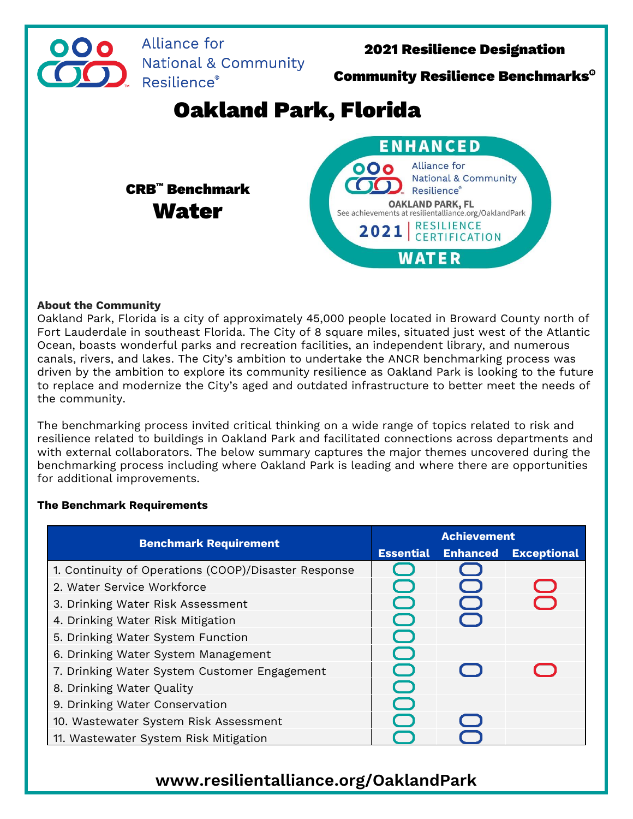

## **About the Community**

Oakland Park, Florida is a city of approximately 45,000 people located in Broward County north of Fort Lauderdale in southeast Florida. The City of 8 square miles, situated just west of the Atlantic Ocean, boasts wonderful parks and recreation facilities, an independent library, and numerous canals, rivers, and lakes. The City's ambition to undertake the ANCR benchmarking process was driven by the ambition to explore its community resilience as Oakland Park is looking to the future to replace and modernize the City's aged and outdated infrastructure to better meet the needs of the community.

The benchmarking process invited critical thinking on a wide range of topics related to risk and resilience related to buildings in Oakland Park and facilitated connections across departments and with external collaborators. The below summary captures the major themes uncovered during the benchmarking process including where Oakland Park is leading and where there are opportunities for additional improvements.

## **The Benchmark Requirements**

| <b>Benchmark Requirement</b>                         | <b>Achievement</b> |                 |                    |
|------------------------------------------------------|--------------------|-----------------|--------------------|
|                                                      | <b>Essential</b>   | <b>Enhanced</b> | <b>Exceptional</b> |
| 1. Continuity of Operations (COOP)/Disaster Response |                    |                 |                    |
| 2. Water Service Workforce                           |                    |                 | $\bigcirc$         |
| 3. Drinking Water Risk Assessment                    |                    |                 | $\rightarrow$      |
| 4. Drinking Water Risk Mitigation                    |                    |                 |                    |
| 5. Drinking Water System Function                    | $\bigcup$          |                 |                    |
| 6. Drinking Water System Management                  |                    |                 |                    |
| 7. Drinking Water System Customer Engagement         |                    |                 | $\sqrt{2}$         |
| 8. Drinking Water Quality                            | e e                |                 |                    |
| 9. Drinking Water Conservation                       |                    |                 |                    |
| 10. Wastewater System Risk Assessment                |                    |                 |                    |
| 11. Wastewater System Risk Mitigation                |                    |                 |                    |

## **www.resilientalliance.org/OaklandPark**